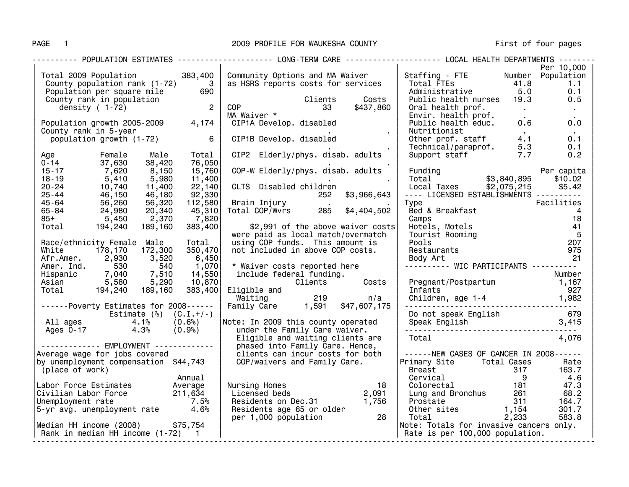# PAGE 1 2009 PROFILE FOR WAUKESHA COUNTY First of four pages

|                                                                                                                                                                                                             |         | ---------- POPULATION ESTIMATES -------------------- LONG-TERM CARE ------------------- LOCAL HEALTH DEPARTMENTS --------                                                                                                                                                                                     |                                                                                                                                                                                                                                 |            |
|-------------------------------------------------------------------------------------------------------------------------------------------------------------------------------------------------------------|---------|---------------------------------------------------------------------------------------------------------------------------------------------------------------------------------------------------------------------------------------------------------------------------------------------------------------|---------------------------------------------------------------------------------------------------------------------------------------------------------------------------------------------------------------------------------|------------|
|                                                                                                                                                                                                             |         | Fotal 2009 Population<br>County population rank (1-72) 3<br>Population per square mile 690<br>County rank in population<br>density (1-72) 2<br>COP 33 \$437,860<br>MA Waiver * 1014 Develop. disabled                                                                                                         |                                                                                                                                                                                                                                 | Per 10,000 |
|                                                                                                                                                                                                             |         | Total 2009 Population 383,400   Community Options and MA Waiver   Staffing - FTE Number Population                                                                                                                                                                                                            |                                                                                                                                                                                                                                 |            |
|                                                                                                                                                                                                             |         |                                                                                                                                                                                                                                                                                                               | Total FTEs<br>Administrative 5.0 0.1<br>Public health nurses 19.3 0.5                                                                                                                                                           |            |
|                                                                                                                                                                                                             |         |                                                                                                                                                                                                                                                                                                               |                                                                                                                                                                                                                                 |            |
|                                                                                                                                                                                                             |         |                                                                                                                                                                                                                                                                                                               |                                                                                                                                                                                                                                 |            |
|                                                                                                                                                                                                             |         |                                                                                                                                                                                                                                                                                                               | Oral health prof.<br>Envir. health prof.<br>Public health educ. 0.6 0.0                                                                                                                                                         |            |
|                                                                                                                                                                                                             |         |                                                                                                                                                                                                                                                                                                               |                                                                                                                                                                                                                                 |            |
|                                                                                                                                                                                                             |         |                                                                                                                                                                                                                                                                                                               |                                                                                                                                                                                                                                 |            |
| County rank in 5-year                                                                                                                                                                                       |         | Nutritionist                                                                                                                                                                                                                                                                                                  |                                                                                                                                                                                                                                 |            |
|                                                                                                                                                                                                             |         |                                                                                                                                                                                                                                                                                                               |                                                                                                                                                                                                                                 |            |
|                                                                                                                                                                                                             |         |                                                                                                                                                                                                                                                                                                               |                                                                                                                                                                                                                                 |            |
|                                                                                                                                                                                                             |         | COP<br>MA Waiver *<br>CIP1A Develop. disabled<br>CIP1B Develop. disabled                                                                                                                                                                                                                                      | Nutritionist<br>0ther prof. staff $\begin{array}{ccc} 4.1 & 0.1 \ 0.1 & 0.1 \end{array}$<br>1991 - Technical/paraprof. 5.3 $\begin{array}{ccc} 0.1 & 0.1 \ 0.2 & 0.2 \end{array}$                                               |            |
|                                                                                                                                                                                                             | Total   | CIP2 Elderly/phys. disab. adults                                                                                                                                                                                                                                                                              |                                                                                                                                                                                                                                 |            |
| Age<br>0-14 37,630 38,420<br>15-17 7,620 8,150<br>18-19 5,410 5,980<br>20-24 10,740 11,400<br>25-44 46,150 46,180<br>45-64 56,260 56,320<br>65-84 24,980 20,340<br>85+ 5,450 2,370<br>Total 194,240 189,160 | 76,050  |                                                                                                                                                                                                                                                                                                               |                                                                                                                                                                                                                                 |            |
|                                                                                                                                                                                                             | 15,760  |                                                                                                                                                                                                                                                                                                               |                                                                                                                                                                                                                                 |            |
|                                                                                                                                                                                                             | 11,400  |                                                                                                                                                                                                                                                                                                               |                                                                                                                                                                                                                                 |            |
|                                                                                                                                                                                                             | 22,140  |                                                                                                                                                                                                                                                                                                               |                                                                                                                                                                                                                                 |            |
|                                                                                                                                                                                                             | 92,330  |                                                                                                                                                                                                                                                                                                               |                                                                                                                                                                                                                                 |            |
|                                                                                                                                                                                                             |         | 112,580 Brain Injury<br>45,310 Total COP/Wvrs 285 \$4,404,502                                                                                                                                                                                                                                                 |                                                                                                                                                                                                                                 |            |
|                                                                                                                                                                                                             |         |                                                                                                                                                                                                                                                                                                               |                                                                                                                                                                                                                                 |            |
|                                                                                                                                                                                                             | 7,820   |                                                                                                                                                                                                                                                                                                               |                                                                                                                                                                                                                                 |            |
|                                                                                                                                                                                                             | 383,400 | \$2,991 of the above waiver costs                                                                                                                                                                                                                                                                             |                                                                                                                                                                                                                                 |            |
|                                                                                                                                                                                                             |         |                                                                                                                                                                                                                                                                                                               |                                                                                                                                                                                                                                 |            |
|                                                                                                                                                                                                             |         | were paid as local match/overmatch                                                                                                                                                                                                                                                                            | Type<br>Pacilities<br>Bed & Breakfast<br>Camps<br>Bed & Breakfast<br>Camps<br>18<br>Hotels, Motels<br>Tourist Rooming<br>Pools<br>Pools<br>207<br>Restaurants<br>Body Art<br>Pooly Art<br>21                                    |            |
| Race/ethnicity Female Male                                                                                                                                                                                  | Total   | using COP funds. This amount is<br>not included in above COP costs.<br>Race/ethnicity<br>White 178,170 172,300 33,520 6,450<br>Afr.Amer. Ind. 530 540 1,070<br>Hispanic 7,040 7,510 14,550 include federal funding.<br>Asian 5,580 5,290 10,870<br>Total 194,240 189,160 383,400<br>Total 194,240 189,160 383 |                                                                                                                                                                                                                                 |            |
|                                                                                                                                                                                                             |         |                                                                                                                                                                                                                                                                                                               |                                                                                                                                                                                                                                 |            |
|                                                                                                                                                                                                             |         | 1,070 * Waiver costs reported here [1,070] * Waiver costs reported here [14,550 ]<br>14,550 include federal funding. [10,870 ] [10,870 [10,870 ] [1,167 ]<br>1,167 [1,167 ] [1,167 ] [1,167 ] [1,167 ] [1,167 ]<br>1,167 ] [1,167 ] [1,                                                                       |                                                                                                                                                                                                                                 |            |
|                                                                                                                                                                                                             |         |                                                                                                                                                                                                                                                                                                               |                                                                                                                                                                                                                                 |            |
|                                                                                                                                                                                                             |         |                                                                                                                                                                                                                                                                                                               |                                                                                                                                                                                                                                 |            |
|                                                                                                                                                                                                             |         |                                                                                                                                                                                                                                                                                                               |                                                                                                                                                                                                                                 |            |
|                                                                                                                                                                                                             |         | Infants                                                                                                                                                                                                                                                                                                       |                                                                                                                                                                                                                                 | 927        |
|                                                                                                                                                                                                             |         |                                                                                                                                                                                                                                                                                                               |                                                                                                                                                                                                                                 |            |
|                                                                                                                                                                                                             |         |                                                                                                                                                                                                                                                                                                               | Children, age 1-4 1,982                                                                                                                                                                                                         |            |
|                                                                                                                                                                                                             |         |                                                                                                                                                                                                                                                                                                               |                                                                                                                                                                                                                                 |            |
|                                                                                                                                                                                                             |         |                                                                                                                                                                                                                                                                                                               |                                                                                                                                                                                                                                 |            |
| Estimate (%) (C.I.+/-)<br>All ages 4.1% (0.6%)<br>Ages 0-17 4.3% (0.9%)                                                                                                                                     |         | under the Family Care waiver.                                                                                                                                                                                                                                                                                 |                                                                                                                                                                                                                                 |            |
|                                                                                                                                                                                                             |         | Total Torridge                                                                                                                                                                                                                                                                                                |                                                                                                                                                                                                                                 | 4,076      |
|                                                                                                                                                                                                             |         | Ages 0-17 4.3% (0.9%) under the Family Care waiver.<br>------------- EMPLOYMENT ------------- EMPLOYMENT -------------- phased into Family Care. Hence,<br>Average wage for jobs covered elients can incur costs for both                                                                                     |                                                                                                                                                                                                                                 |            |
|                                                                                                                                                                                                             |         |                                                                                                                                                                                                                                                                                                               |                                                                                                                                                                                                                                 |            |
|                                                                                                                                                                                                             |         |                                                                                                                                                                                                                                                                                                               | ------NEW CASES OF CANCER IN 2008------                                                                                                                                                                                         |            |
| by unemployment compensation \$44,743                                                                                                                                                                       |         | COP/waivers and Family Care.                                                                                                                                                                                                                                                                                  | Primary Site Total Cases<br>Preset                                                                                                                                                                                              | Rate       |
| (place of work)                                                                                                                                                                                             |         |                                                                                                                                                                                                                                                                                                               |                                                                                                                                                                                                                                 |            |
|                                                                                                                                                                                                             | Annual  |                                                                                                                                                                                                                                                                                                               |                                                                                                                                                                                                                                 |            |
|                                                                                                                                                                                                             |         |                                                                                                                                                                                                                                                                                                               | Example 100000 and total USBN 0163.7<br>Denoted a metal of the set of the set of the set of the set of the set of the set of the set of the set of the set of the set of the set of the set of the set of the set of the set of |            |
| Annual<br>  Labor Force Estimates Average<br>  Civilian Labor Force 211,634<br>  Unemployment rate 7.5%<br>  S-yr avg. unemployment rate 4.6%                                                               |         |                                                                                                                                                                                                                                                                                                               |                                                                                                                                                                                                                                 |            |
|                                                                                                                                                                                                             |         |                                                                                                                                                                                                                                                                                                               |                                                                                                                                                                                                                                 |            |
|                                                                                                                                                                                                             |         |                                                                                                                                                                                                                                                                                                               |                                                                                                                                                                                                                                 |            |
|                                                                                                                                                                                                             |         |                                                                                                                                                                                                                                                                                                               |                                                                                                                                                                                                                                 |            |
| Median HH income (2008) \$75,754                                                                                                                                                                            |         | Nursing Homes<br>Licensed beds 2,091<br>Residents on Dec.31 1,756<br>Residents age 65 or older per 1,000 population 28                                                                                                                                                                                        | Note: Totals for invasive cancers only.                                                                                                                                                                                         |            |
|                                                                                                                                                                                                             |         |                                                                                                                                                                                                                                                                                                               | Rate is per 100,000 population.                                                                                                                                                                                                 |            |
|                                                                                                                                                                                                             |         |                                                                                                                                                                                                                                                                                                               |                                                                                                                                                                                                                                 |            |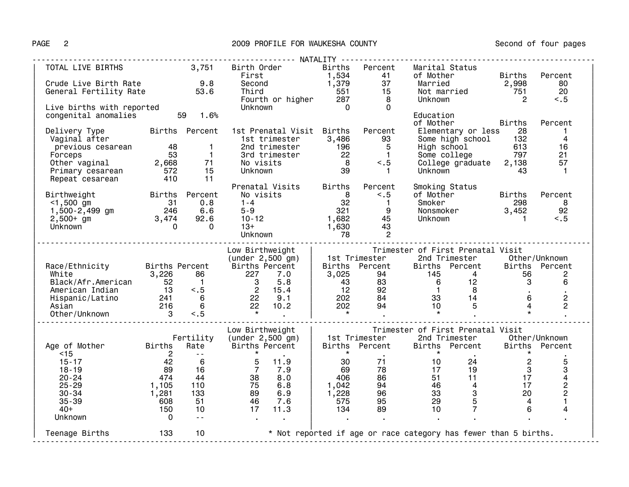## PAGE 2 2009 PROFILE FOR WAUKESHA COUNTY 2009 PAGE 2

| TOTAL LIVE BIRTHS 3,751 Birth Order Births Percent Marital<br>Crude Live Birth Rate 9.8 Second 1,379 37 Married<br>General Fertility Rate 53.6 Third 551 15 Not mar<br>Live births with reported Unknown Unknown onenital anomalies<br>                                        |                 |                |                                                                                                                                                                                                                                   |                                                         |                 | Marital Status                                                                                                    |                |                         |
|--------------------------------------------------------------------------------------------------------------------------------------------------------------------------------------------------------------------------------------------------------------------------------|-----------------|----------------|-----------------------------------------------------------------------------------------------------------------------------------------------------------------------------------------------------------------------------------|---------------------------------------------------------|-----------------|-------------------------------------------------------------------------------------------------------------------|----------------|-------------------------|
|                                                                                                                                                                                                                                                                                |                 |                |                                                                                                                                                                                                                                   |                                                         |                 | of Mother Births                                                                                                  |                | Percent                 |
|                                                                                                                                                                                                                                                                                |                 |                |                                                                                                                                                                                                                                   |                                                         |                 | Married<br>Married 2,998<br>Not married 751<br>Unknown 2                                                          |                | 80                      |
|                                                                                                                                                                                                                                                                                |                 |                |                                                                                                                                                                                                                                   |                                                         |                 |                                                                                                                   |                | 20                      |
|                                                                                                                                                                                                                                                                                |                 |                |                                                                                                                                                                                                                                   |                                                         |                 |                                                                                                                   |                | < 0.5                   |
| Live births with reported<br>congenital anomalies 59 1.6%<br>- - -                                                                                                                                                                                                             |                 |                |                                                                                                                                                                                                                                   |                                                         |                 |                                                                                                                   |                |                         |
|                                                                                                                                                                                                                                                                                |                 |                |                                                                                                                                                                                                                                   |                                                         |                 | Education                                                                                                         |                |                         |
|                                                                                                                                                                                                                                                                                |                 |                |                                                                                                                                                                                                                                   |                                                         |                 | of Mother Births                                                                                                  |                | Percent                 |
| Delivery Type births Percent 1st Prenatal Visit Births                                                                                                                                                                                                                         |                 |                |                                                                                                                                                                                                                                   |                                                         | Percent         |                                                                                                                   |                | $\mathbf{1}$            |
| Vaginal after                                                                                                                                                                                                                                                                  |                 |                |                                                                                                                                                                                                                                   |                                                         | $\overline{93}$ | Elementary or less<br>Some high school 132<br>High school 613<br>Some college 797<br>College graduate 2,138<br>A3 |                | $\overline{4}$          |
|                                                                                                                                                                                                                                                                                |                 |                |                                                                                                                                                                                                                                   |                                                         |                 |                                                                                                                   |                | 16                      |
|                                                                                                                                                                                                                                                                                |                 |                |                                                                                                                                                                                                                                   |                                                         |                 |                                                                                                                   |                | 21                      |
|                                                                                                                                                                                                                                                                                |                 |                | 2nd trimester<br>3rd trimester<br>3rd trimester<br>22 1<br>No visits<br>8 <.5<br>Unknown 39 1                                                                                                                                     |                                                         |                 |                                                                                                                   |                | 57                      |
|                                                                                                                                                                                                                                                                                |                 |                |                                                                                                                                                                                                                                   |                                                         |                 |                                                                                                                   |                | $\overline{1}$          |
|                                                                                                                                                                                                                                                                                |                 |                |                                                                                                                                                                                                                                   |                                                         |                 | Unknown 43                                                                                                        |                |                         |
|                                                                                                                                                                                                                                                                                |                 |                |                                                                                                                                                                                                                                   |                                                         |                 |                                                                                                                   |                |                         |
| Birthweight<br>Births Percent Smoking Status<br>Status<br>Status<br>Status<br>Status<br>Status<br>Status<br>Status<br>Status<br>Status<br>Status<br>Status<br>Status<br>Status<br>Status<br>Status<br>Status<br>Status<br>Status<br>Status<br>Status<br>Status<br>Status<br>St |                 |                |                                                                                                                                                                                                                                   |                                                         |                 |                                                                                                                   |                | Percent                 |
|                                                                                                                                                                                                                                                                                |                 |                |                                                                                                                                                                                                                                   |                                                         |                 |                                                                                                                   |                |                         |
|                                                                                                                                                                                                                                                                                |                 |                |                                                                                                                                                                                                                                   |                                                         |                 |                                                                                                                   | 298 8          |                         |
|                                                                                                                                                                                                                                                                                |                 |                |                                                                                                                                                                                                                                   |                                                         |                 |                                                                                                                   |                | 92                      |
|                                                                                                                                                                                                                                                                                |                 |                |                                                                                                                                                                                                                                   |                                                         |                 |                                                                                                                   |                | < 0.5                   |
|                                                                                                                                                                                                                                                                                |                 |                |                                                                                                                                                                                                                                   |                                                         |                 |                                                                                                                   |                |                         |
|                                                                                                                                                                                                                                                                                |                 |                |                                                                                                                                                                                                                                   |                                                         |                 |                                                                                                                   |                |                         |
|                                                                                                                                                                                                                                                                                |                 |                |                                                                                                                                                                                                                                   |                                                         |                 |                                                                                                                   |                |                         |
|                                                                                                                                                                                                                                                                                |                 |                |                                                                                                                                                                                                                                   |                                                         |                 |                                                                                                                   |                |                         |
|                                                                                                                                                                                                                                                                                |                 |                |                                                                                                                                                                                                                                   |                                                         |                 |                                                                                                                   |                |                         |
|                                                                                                                                                                                                                                                                                |                 |                |                                                                                                                                                                                                                                   |                                                         |                 |                                                                                                                   |                |                         |
|                                                                                                                                                                                                                                                                                |                 |                |                                                                                                                                                                                                                                   |                                                         |                 |                                                                                                                   |                |                         |
|                                                                                                                                                                                                                                                                                |                 |                |                                                                                                                                                                                                                                   |                                                         |                 |                                                                                                                   |                |                         |
|                                                                                                                                                                                                                                                                                |                 |                |                                                                                                                                                                                                                                   |                                                         |                 |                                                                                                                   |                |                         |
|                                                                                                                                                                                                                                                                                |                 |                |                                                                                                                                                                                                                                   |                                                         |                 |                                                                                                                   |                |                         |
|                                                                                                                                                                                                                                                                                |                 |                |                                                                                                                                                                                                                                   |                                                         |                 |                                                                                                                   |                |                         |
|                                                                                                                                                                                                                                                                                |                 |                |                                                                                                                                                                                                                                   |                                                         |                 |                                                                                                                   |                |                         |
|                                                                                                                                                                                                                                                                                |                 |                |                                                                                                                                                                                                                                   |                                                         |                 |                                                                                                                   |                |                         |
|                                                                                                                                                                                                                                                                                |                 |                | Low Birthweight                                                                                                                                                                                                                   |                                                         |                 | Trimester of First Prenatal Visit                                                                                 |                |                         |
|                                                                                                                                                                                                                                                                                |                 |                | Fertility (under $2,500$ gm) $\vert$                                                                                                                                                                                              |                                                         |                 |                                                                                                                   |                |                         |
| Age of Mother Births Rate Births Percent<br><15                                                                                                                                                                                                                                |                 |                |                                                                                                                                                                                                                                   |                                                         |                 | 1st Trimester 2nd Trimester 0ther/Unknown<br>Births Percent Births Percent * *                                    |                |                         |
|                                                                                                                                                                                                                                                                                |                 |                | $\begin{array}{cccc} -\text{-} & \ast & \text{-} \\ \text{-} & 5 & 11.9 \\ 16 & 7 & 7.9 \\ 44 & 38 & 8.0 \\ 110 & 75 & 6.8 \\ 133 & 89 & 6.9 \\ 51 & 46 & 7.6 \\ 10 & 17 & 11.3 \\ -\text{-} & \cdot & \cdot & \cdot \end{array}$ | $\star$                                                 |                 | $\star$                                                                                                           |                |                         |
| $\begin{array}{r} 2 \\ 42 \\ 89 \\ 474 \\ 1,105 \end{array}$<br>$15 - 17$                                                                                                                                                                                                      | $\frac{42}{89}$ |                |                                                                                                                                                                                                                                   | $\frac{30}{69}$                                         |                 | $\begin{array}{ccc}\n 71 & 10 \\  78 & 17\n\end{array}$<br>$\frac{24}{19}$                                        | $\overline{2}$ | 5                       |
| $18 - 19$                                                                                                                                                                                                                                                                      |                 |                |                                                                                                                                                                                                                                   |                                                         |                 |                                                                                                                   | $\mathbf{3}$   | 3                       |
| $20 - 24$                                                                                                                                                                                                                                                                      |                 |                |                                                                                                                                                                                                                                   | 406                                                     |                 | 11                                                                                                                | 17             | $\overline{\mathbf{4}}$ |
| $25 - 29$                                                                                                                                                                                                                                                                      |                 |                |                                                                                                                                                                                                                                   | $\left \begin{array}{c} 406 \ 1,042 \end{array}\right $ |                 | $\begin{array}{cc} 1.7 & 1.7 \ 86 & 51 \ 94 & 46 \ 96 & 33 \ 95 & 29 \ 89 & 10 \end{array}$<br>$\overline{4}$     | 17             | $\frac{2}{2}$           |
| $1,281$<br>608<br>$30 - 34$                                                                                                                                                                                                                                                    |                 |                |                                                                                                                                                                                                                                   | $\begin{vmatrix} 1, & 228 \\ -7, & -7 \end{vmatrix}$    |                 | $3^{\circ}$                                                                                                       | 20             |                         |
| $35 - 39$                                                                                                                                                                                                                                                                      |                 |                |                                                                                                                                                                                                                                   | 575                                                     |                 | $\overline{5}$                                                                                                    | $\overline{4}$ | $\mathbf{1}$            |
| $40+$                                                                                                                                                                                                                                                                          | 150             |                |                                                                                                                                                                                                                                   | $\vert$ 134                                             |                 | $\overline{7}$                                                                                                    | 6              | 4                       |
| Unknown                                                                                                                                                                                                                                                                        | $\overline{0}$  | $\sim 10^{-1}$ |                                                                                                                                                                                                                                   |                                                         |                 |                                                                                                                   |                |                         |
|                                                                                                                                                                                                                                                                                |                 |                |                                                                                                                                                                                                                                   |                                                         |                 |                                                                                                                   |                |                         |
| Teenage Births 133 10 * Not reported if age or race category has fewer than 5 births.                                                                                                                                                                                          |                 |                |                                                                                                                                                                                                                                   |                                                         |                 |                                                                                                                   |                |                         |
|                                                                                                                                                                                                                                                                                |                 |                |                                                                                                                                                                                                                                   |                                                         |                 |                                                                                                                   |                |                         |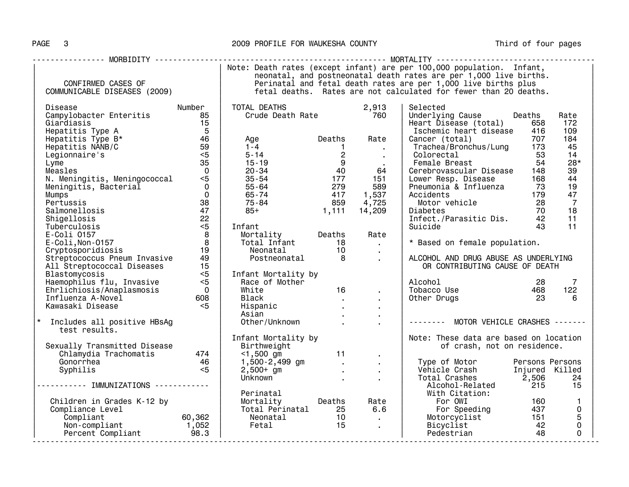## PAGE 3 2009 PROFILE FOR WAUKESHA COUNTY Third of four pages

|                                                                                                                                                   |                                                                  |                                                                     |                                |                                                         | Note: Death rates (except infant) are per 100,000 population. Infant, |        |                |  |  |  |
|---------------------------------------------------------------------------------------------------------------------------------------------------|------------------------------------------------------------------|---------------------------------------------------------------------|--------------------------------|---------------------------------------------------------|-----------------------------------------------------------------------|--------|----------------|--|--|--|
|                                                                                                                                                   |                                                                  | neonatal, and postneonatal death rates are per 1,000 live births.   |                                |                                                         |                                                                       |        |                |  |  |  |
| CONFIRMED CASES OF                                                                                                                                |                                                                  | Perinatal and fetal death rates are per 1,000 live births plus      |                                |                                                         |                                                                       |        |                |  |  |  |
| COMMUNICABLE DISEASES (2009)                                                                                                                      | fetal deaths. Rates are not calculated for fewer than 20 deaths. |                                                                     |                                |                                                         |                                                                       |        |                |  |  |  |
|                                                                                                                                                   |                                                                  |                                                                     |                                |                                                         |                                                                       |        |                |  |  |  |
| Disease                                                                                                                                           | Number                                                           | TOTAL DEATHS                                                        |                                | 2,913                                                   | Selected                                                              |        |                |  |  |  |
| Campylobacter Enteritis                                                                                                                           | 85                                                               |                                                                     |                                |                                                         | Underlying Cause                                                      | Deaths | Rate           |  |  |  |
| Giardiasis                                                                                                                                        | 15                                                               |                                                                     |                                |                                                         | Heart Disease (total)                                                 | 658    | 172            |  |  |  |
| Hepatitis Type A                                                                                                                                  | $5^{\circ}$                                                      |                                                                     |                                |                                                         | Ischemic heart disease                                                | 416    | 109            |  |  |  |
| Hepatitis Type B*                                                                                                                                 | 46                                                               | Age                                                                 | <b>Deaths</b>                  | Rate                                                    |                                                                       | 707    | 184            |  |  |  |
|                                                                                                                                                   | $\frac{40}{59}$                                                  | $1 - 4$                                                             |                                |                                                         | Cancer (total)                                                        |        | 45             |  |  |  |
| Hepatitis NANB/C                                                                                                                                  |                                                                  | $1 - 4$<br>$5 - 14$<br>$15 - 19$<br>$20 - 34$<br>$35 - 54$<br>$177$ | $\blacksquare$                 | $\sim 100$ km s $^{-1}$                                 |                                                                       |        |                |  |  |  |
| Legionnaire's                                                                                                                                     | $<$ 5                                                            |                                                                     |                                | $\sim 10^{-11}$                                         | Colorectal<br>colorectal<br>Female Breast                             | 53     | 14             |  |  |  |
| Lyme                                                                                                                                              | 35                                                               |                                                                     |                                | $\sim 10^{-11}$                                         |                                                                       | 54     | $28*$          |  |  |  |
| Measles                                                                                                                                           | $\overline{0}$                                                   |                                                                     | 177                            | 64                                                      | Cerebrovascular Disease                                               | 148    | 39             |  |  |  |
| N. Meningitis, Meningococcal <5                                                                                                                   |                                                                  |                                                                     |                                | 151                                                     | Lower Resp. Disease                                                   | 168    | 44             |  |  |  |
| Meningitis, Bacterial                                                                                                                             |                                                                  |                                                                     | 279                            | 589                                                     | Pneumonia & Influenza                                                 | - 73   | 19             |  |  |  |
| <b>Mumps</b>                                                                                                                                      |                                                                  |                                                                     | 417                            | 1,537                                                   | Accidents                                                             | 179    | 47             |  |  |  |
| Pertussis                                                                                                                                         | $\begin{array}{c}\n 0 \\  0 \\  38\n \end{array}$                | 55 - 64<br>65 - 74<br>75 - 84                                       | 859                            | 4,725                                                   | Motor vehicle 28                                                      |        | $\overline{7}$ |  |  |  |
| Salmonellosis                                                                                                                                     | 47                                                               | $85+$                                                               | 1,111                          | 14,209                                                  | Diabetes                                                              | 70     | 18             |  |  |  |
| Shigellosis                                                                                                                                       | 22                                                               |                                                                     |                                |                                                         |                                                                       |        | 11             |  |  |  |
| Tuberculosis                                                                                                                                      | $<$ 5                                                            | Infant                                                              |                                |                                                         |                                                                       |        | 11             |  |  |  |
| E-Coli 0157                                                                                                                                       | $\overline{\mathbf{8}}$                                          | Mortality Deaths                                                    |                                | Rate                                                    |                                                                       |        |                |  |  |  |
| E-Coli, Non-0157                                                                                                                                  | 8                                                                |                                                                     |                                | $\sim 100$ km s $^{-1}$                                 | * Based on female population.                                         |        |                |  |  |  |
| Cryptosporidiosis                                                                                                                                 | 19                                                               | Total Infant<br>Neonatal 10                                         |                                | $\sim$                                                  |                                                                       |        |                |  |  |  |
| Streptococcus Pneum Invasive                                                                                                                      | 49                                                               | Postneonatal 8                                                      |                                | $\sim$                                                  | ALCOHOL AND DRUG ABUSE AS UNDERLYING                                  |        |                |  |  |  |
| All Streptococcal Diseases                                                                                                                        | 15                                                               |                                                                     |                                |                                                         | OR CONTRIBUTING CAUSE OF DEATH                                        |        |                |  |  |  |
| Blastomycosis                                                                                                                                     | $<$ 5                                                            | Infant Mortality by                                                 |                                |                                                         |                                                                       |        |                |  |  |  |
| Haemophilus flu, Invasive                                                                                                                         | $<$ 5                                                            | Race of Mother                                                      |                                |                                                         | Alcohol                                                               | 28     | $\overline{7}$ |  |  |  |
| Ehrlichiosis/Anaplasmosis                                                                                                                         | $\overline{0}$                                                   | White                                                               | 16                             | $\sim$                                                  | Tobacco Use 468                                                       |        | 122            |  |  |  |
| Influenza A-Novel                                                                                                                                 | 608                                                              | Black                                                               |                                |                                                         | Other Drugs                                                           | 23     | -6             |  |  |  |
| Kawasaki Disease                                                                                                                                  | $<$ 5                                                            | Hispanic                                                            | $\sim 10^{-11}$<br>$\sim 10^7$ | $\sim 10^{-10}$                                         |                                                                       |        |                |  |  |  |
|                                                                                                                                                   |                                                                  | Asian                                                               |                                | $\sim 100$                                              |                                                                       |        |                |  |  |  |
|                                                                                                                                                   |                                                                  | Asian .<br>Other/Unknown .                                          |                                | $\mathbf{R}^{\mathrm{H}}$ and $\mathbf{R}^{\mathrm{H}}$ | -------- MOTOR VEHICLE CRASHES -------                                |        |                |  |  |  |
| * Includes all positive HBsAg                                                                                                                     |                                                                  |                                                                     |                                | $\sim$                                                  |                                                                       |        |                |  |  |  |
| test results.                                                                                                                                     |                                                                  |                                                                     |                                |                                                         |                                                                       |        |                |  |  |  |
|                                                                                                                                                   |                                                                  | Infant Mortality by<br>$Birthweight$<br>$500 \, \text{cm}$ 11       |                                |                                                         | Note: These data are based on location                                |        |                |  |  |  |
| Sexually Transmitted Disease                                                                                                                      |                                                                  |                                                                     |                                |                                                         | of crash, not on residence.                                           |        |                |  |  |  |
|                                                                                                                                                   |                                                                  |                                                                     |                                |                                                         |                                                                       |        |                |  |  |  |
| Gonorrhea                                                                                                                                         | $46$<br>$<$ 5                                                    | 1,500-2,499 gm<br>2,500+ gm                                         |                                | $\mathbf{q} = \mathbf{q}$ , $\mathbf{q} = \mathbf{q}$   |                                                                       |        |                |  |  |  |
| Syphilis                                                                                                                                          |                                                                  |                                                                     | <b>Contractor</b>              | <b>Contractor</b>                                       |                                                                       |        |                |  |  |  |
|                                                                                                                                                   |                                                                  | Unknown                                                             | and the state of the state of  | $\sim 10^{-10}$                                         |                                                                       |        |                |  |  |  |
|                                                                                                                                                   |                                                                  |                                                                     |                                |                                                         |                                                                       |        |                |  |  |  |
|                                                                                                                                                   |                                                                  | Perinatal                                                           |                                |                                                         | With Citation:                                                        |        |                |  |  |  |
|                                                                                                                                                   |                                                                  | Mortality Deaths Rate                                               |                                |                                                         | For OWI                                                               | 160    | $\mathbf{1}$   |  |  |  |
|                                                                                                                                                   |                                                                  |                                                                     |                                |                                                         |                                                                       | 437    | 0              |  |  |  |
|                                                                                                                                                   |                                                                  |                                                                     |                                |                                                         |                                                                       | 151    | 5              |  |  |  |
|                                                                                                                                                   |                                                                  | Total Perinatal 25 6.6<br>Neonatal 10 .<br>Fetal 15 .               |                                |                                                         | For Speeding<br>Motorcyclist<br>Bicyclist                             | 42     | $\mathbf 0$    |  |  |  |
| Children in Grades K-12 by<br>Compliance Level<br>Compliant 60,362<br>Nortality<br>Mortality<br>Total Percent Compliant<br>Percent Compliant 98.3 |                                                                  |                                                                     |                                |                                                         | Pedestrian                                                            | 48     | $\Omega$       |  |  |  |
|                                                                                                                                                   |                                                                  |                                                                     |                                |                                                         |                                                                       |        |                |  |  |  |